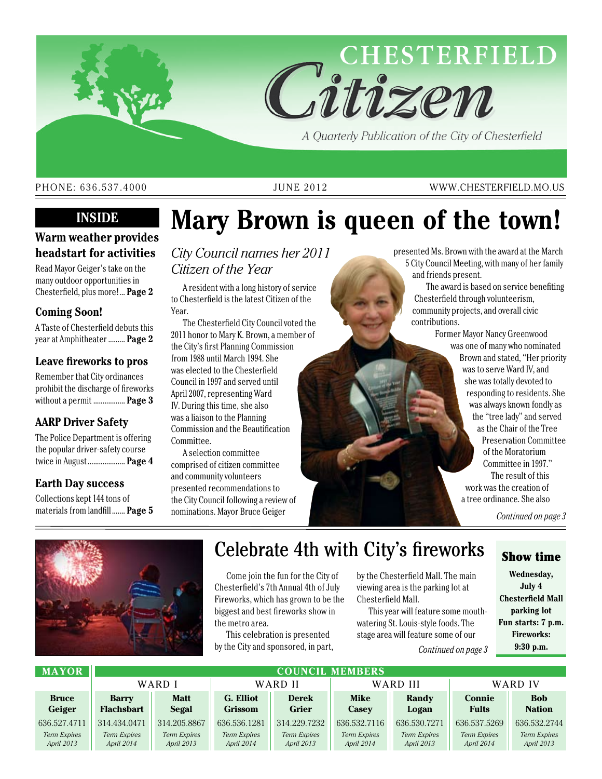

A Quarterly Publication of the City of Chesterfield

### PHONE: 636.537.4000 JUNE 2012 WWW.CHESTERFIELD.MO.US

## **Inside**

## **Warm weather provides headstart for activities**

Read Mayor Geiger's take on the many outdoor opportunities in Chesterfield, plus more!... **Page 2**

## **Coming Soon!**

A Taste of Chesterfield debuts this year at Amphitheater......... **Page 2**

### **Leave fireworks to pros**

Remember that City ordinances prohibit the discharge of fireworks without a permit ................. **Page 3**

## **AARP Driver Safety**

The Police Department is offering the popular driver-safety course twice in August.................... **Page 4**

## **Earth Day success**

Collections kept 144 tons of materials from landfill....... **Page 5**

# **Mary Brown is queen of the town!**

*City Council names her 2011 Citizen of the Year*

A resident with a long history of service to Chesterfield is the latest Citizen of the Year.

The Chesterfield City Council voted the 2011 honor to Mary K. Brown, a member of the City's first Planning Commission from 1988 until March 1994. She was elected to the Chesterfield Council in 1997 and served until April 2007, representing Ward IV. During this time, she also was a liaison to the Planning Commission and the Beautification Committee.

A selection committee comprised of citizen committee and community volunteers presented recommendations to the City Council following a review of nominations. Mayor Bruce Geiger

presented Ms. Brown with the award at the March 5 City Council Meeting, with many of her family and friends present.

The award is based on service benefiting Chesterfield through volunteerism, community projects, and overall civic contributions.

> Former Mayor Nancy Greenwood was one of many who nominated Brown and stated, "Her priority was to serve Ward IV, and she was totally devoted to responding to residents. She was always known fondly as the "tree lady" and served as the Chair of the Tree Preservation Committee of the Moratorium Committee in 1997." The result of this work was the creation of a tree ordinance. She also

> > *Continued on page 3*



## Celebrate 4th with City's fireworks

Come join the fun for the City of Chesterfield's 7th Annual 4th of July Fireworks, which has grown to be the biggest and best fireworks show in the metro area.

This celebration is presented by the City and sponsored, in part,

by the Chesterfield Mall. The main viewing area is the parking lot at Chesterfield Mall.

This year will feature some mouthwatering St. Louis-style foods. The stage area will feature some of our

### *Continued on page 3*

## Show time

**Wednesday, July 4 Chesterfield Mall parking lot Fun starts: 7 p.m. Fireworks: 9:30 p.m.** 

| <b>MAYOR</b>                  | <b>COUNCIL MEMBERS</b>            |                             |                             |                                   |                                   |                            |                               |                             |
|-------------------------------|-----------------------------------|-----------------------------|-----------------------------|-----------------------------------|-----------------------------------|----------------------------|-------------------------------|-----------------------------|
|                               | WARD I                            |                             | WARD II                     |                                   | WARD III                          |                            | WARD IV                       |                             |
| <b>Bruce</b><br><b>Geiger</b> | <b>Barry</b><br><b>Flachsbart</b> | <b>Matt</b><br><b>Segal</b> | G. Elliot<br><b>Grissom</b> | <b>Derek</b><br><b>Grier</b>      | Mike<br>Casey                     | Randy<br>Logan             | <b>Connie</b><br><b>Fults</b> | <b>Bob</b><br><b>Nation</b> |
| 636.527.4711                  | 314.434.0471                      | 314.205.8867                | 636.536.1281                | 314.229.7232                      | 636.532.7116                      | 636.530.7271               | 636.537.5269                  | 636.532.2744                |
| Term Expires<br>April 2013    | Term Expires<br>April 2014        | Term Expires<br>April 2013  | Term Expires<br>April 2014  | <b>Term Expires</b><br>April 2013 | <b>Term Expires</b><br>April 2014 | Term Expires<br>April 2013 | Term Expires<br>April 2014    | Term Expires<br>April 2013  |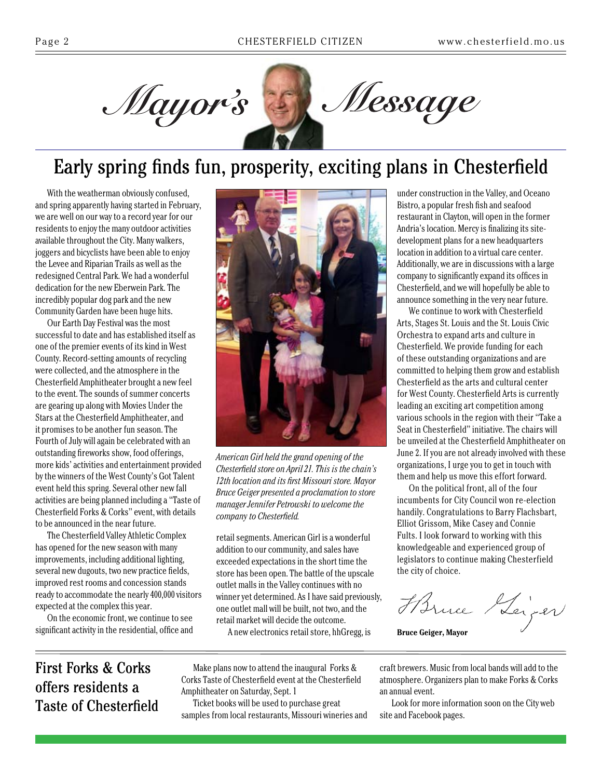

## Early spring finds fun, prosperity, exciting plans in Chesterfield

With the weatherman obviously confused, and spring apparently having started in February, we are well on our way to a record year for our residents to enjoy the many outdoor activities available throughout the City. Many walkers, joggers and bicyclists have been able to enjoy the Levee and Riparian Trails as well as the redesigned Central Park. We had a wonderful dedication for the new Eberwein Park. The incredibly popular dog park and the new Community Garden have been huge hits.

Our Earth Day Festival was the most successful to date and has established itself as one of the premier events of its kind in West County. Record-setting amounts of recycling were collected, and the atmosphere in the Chesterfield Amphitheater brought a new feel to the event. The sounds of summer concerts are gearing up along with Movies Under the Stars at the Chesterfield Amphitheater, and it promises to be another fun season. The Fourth of July will again be celebrated with an outstanding fireworks show, food offerings, more kids' activities and entertainment provided by the winners of the West County's Got Talent event held this spring. Several other new fall activities are being planned including a "Taste of Chesterfield Forks & Corks" event, with details to be announced in the near future.

The Chesterfield Valley Athletic Complex has opened for the new season with many improvements, including additional lighting, several new dugouts, two new practice fields, improved rest rooms and concession stands ready to accommodate the nearly 400,000 visitors expected at the complex this year.

On the economic front, we continue to see significant activity in the residential, office and



*American Girl held the grand opening of the Chesterfield store on April 21. This is the chain's 12th location and its first Missouri store. Mayor Bruce Geiger presented a proclamation to store manager Jennifer Petrowski to welcome the company to Chesterfield.*

retail segments. American Girl is a wonderful addition to our community, and sales have exceeded expectations in the short time the store has been open. The battle of the upscale outlet malls in the Valley continues with no winner yet determined. As I have said previously, one outlet mall will be built, not two, and the retail market will decide the outcome.

A new electronics retail store, hhGregg, is

under construction in the Valley, and Oceano Bistro, a popular fresh fish and seafood restaurant in Clayton, will open in the former Andria's location. Mercy is finalizing its sitedevelopment plans for a new headquarters location in addition to a virtual care center. Additionally, we are in discussions with a large company to significantly expand its offices in Chesterfield, and we will hopefully be able to announce something in the very near future.

We continue to work with Chesterfield Arts, Stages St. Louis and the St. Louis Civic Orchestra to expand arts and culture in Chesterfield. We provide funding for each of these outstanding organizations and are committed to helping them grow and establish Chesterfield as the arts and cultural center for West County. Chesterfield Arts is currently leading an exciting art competition among various schools in the region with their "Take a Seat in Chesterfield" initiative. The chairs will be unveiled at the Chesterfield Amphitheater on June 2. If you are not already involved with these organizations, I urge you to get in touch with them and help us move this effort forward.

On the political front, all of the four incumbents for City Council won re-election handily. Congratulations to Barry Flachsbart, Elliot Grissom, Mike Casey and Connie Fults. I look forward to working with this knowledgeable and experienced group of legislators to continue making Chesterfield the city of choice.

Harne Heiger

**Bruce Geiger, Mayor**

## First Forks & Corks offers residents a Taste of Chesterfield

Make plans now to attend the inaugural Forks & Corks Taste of Chesterfield event at the Chesterfield Amphitheater on Saturday, Sept. 1

Ticket books will be used to purchase great samples from local restaurants, Missouri wineries and craft brewers. Music from local bands will add to the atmosphere. Organizers plan to make Forks & Corks an annual event.

Look for more information soon on the City web site and Facebook pages.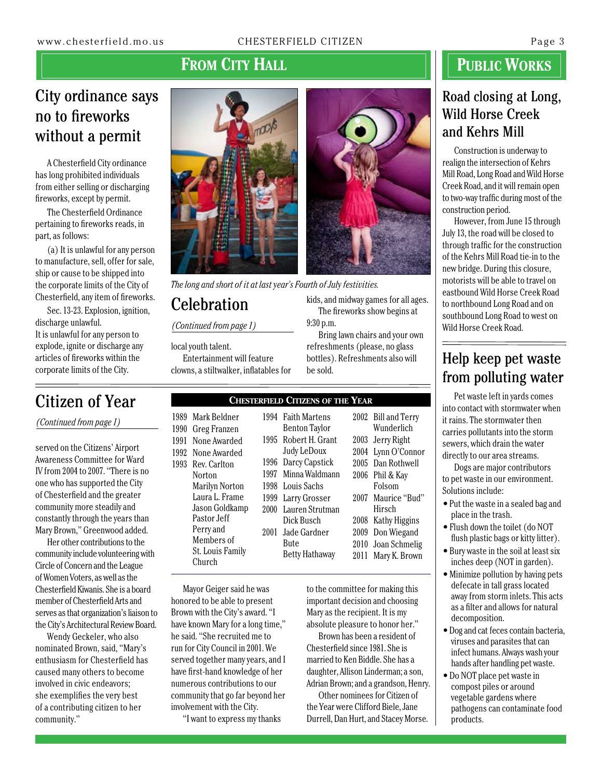## FROM CITY HALL

## City ordinance says no to fireworks without a permit

A Chesterfield City ordinance has long prohibited individuals from either selling or discharging fireworks, except by permit.

The Chesterfield Ordinance pertaining to fireworks reads, in part, as follows:

(a) It is unlawful for any person to manufacture, sell, offer for sale, ship or cause to be shipped into the corporate limits of the City of Chesterfield, any item of fireworks.

Sec. 13-23. Explosion, ignition, discharge unlawful. It is unlawful for any person to explode, ignite or discharge any articles of fireworks within the corporate limits of the City.

*(Continued from page 1)*

served on the Citizens' Airport Awareness Committee for Ward IV from 2004 to 2007. "There is no one who has supported the City of Chesterfield and the greater community more steadily and constantly through the years than Mary Brown," Greenwood added.

Her other contributions to the community include volunteering with Circle of Concern and the League of Women Voters, as well as the Chesterfield Kiwanis. She is a board member of Chesterfield Arts and serves as that organization's liaison to the City's Architectural Review Board.

Wendy Geckeler, who also nominated Brown, said, "Mary's enthusiasm for Chesterfield has caused many others to become involved in civic endeavors; she exemplifies the very best of a contributing citizen to her community."



*The long and short of it at last year's Fourth of July festivities.*

## **Celebration**

*(Continued from page 1)*

local youth talent. Entertainment will feature clowns, a stiltwalker, inflatables for

### Citizen of Year **Chesterfield Citizens of the Year**

9:30 p.m.

be sold.

| Mark Beldner            |       | 1994 Faith Martens   |      | 2002 Bill and Terry |
|-------------------------|-------|----------------------|------|---------------------|
| Greg Franzen            |       | <b>Benton Taylor</b> |      | Wunderlich          |
| None Awarded            |       | 1995 Robert H. Grant | 2003 | Jerry Right         |
| None Awarded            |       | Judy LeDoux          |      | 2004 Lynn O'Connor  |
| Rev. Carlton            | 1996- | Darcy Capstick       |      | 2005 Dan Rothwell   |
| Norton                  | 1997  | Minna Waldmann       | 2006 | Phil & Kay          |
| <b>Marilyn Norton</b>   |       | 1998 Louis Sachs     |      | Folsom              |
| Laura L. Frame          |       | 1999 Larry Grosser   | 2007 | Maurice "Bud"       |
| Jason Goldkamp          | 2000  | Lauren Strutman      |      | Hirsch              |
| Pastor Jeff             |       | Dick Busch           | 2008 | Kathy Higgins       |
| Perry and               | 2001  | Jade Gardner         | 2009 | Don Wiegand         |
| Members of              |       | Bute                 | 2010 | Joan Schmelig       |
| <b>St. Louis Family</b> |       | Betty Hathaway       | 2011 | Mary K. Brown       |
| Church                  |       |                      |      |                     |

Mayor Geiger said he was honored to be able to present Brown with the City's award. "I have known Mary for a long time," he said. "She recruited me to run for City Council in 2001. We served together many years, and I have first-hand knowledge of her numerous contributions to our community that go far beyond her involvement with the City.

"I want to express my thanks

to the committee for making this important decision and choosing Mary as the recipient. It is my absolute pleasure to honor her."

kids, and midway games for all ages. The fireworks show begins at

Bring lawn chairs and your own refreshments (please, no glass bottles). Refreshments also will

Brown has been a resident of Chesterfield since 1981. She is married to Ken Biddle. She has a daughter, Allison Linderman; a son, Adrian Brown; and a grandson, Henry.

Other nominees for Citizen of the Year were Clifford Biele, Jane Durrell, Dan Hurt, and Stacey Morse.

## **PUBLIC WORKS**

## Road closing at Long, Wild Horse Creek and Kehrs Mill

Construction is underway to realign the intersection of Kehrs Mill Road, Long Road and Wild Horse Creek Road, and it will remain open to two-way traffic during most of the construction period.

However, from June 15 through July 13, the road will be closed to through traffic for the construction of the Kehrs Mill Road tie-in to the new bridge. During this closure, motorists will be able to travel on eastbound Wild Horse Creek Road to northbound Long Road and on southbound Long Road to west on Wild Horse Creek Road.

## Help keep pet waste from polluting water

Pet waste left in yards comes into contact with stormwater when it rains. The stormwater then carries pollutants into the storm sewers, which drain the water directly to our area streams.

Dogs are major contributors to pet waste in our environment. Solutions include:

- Put the waste in a sealed bag and place in the trash.
- Flush down the toilet (do NOT flush plastic bags or kitty litter).
- Bury waste in the soil at least six inches deep (NOT in garden).
- Minimize pollution by having pets defecate in tall grass located away from storm inlets. This acts as a filter and allows for natural decomposition.
- Dog and cat feces contain bacteria, viruses and parasites that can infect humans. Always wash your hands after handling pet waste.
- Do NOT place pet waste in compost piles or around vegetable gardens where pathogens can contaminate food products.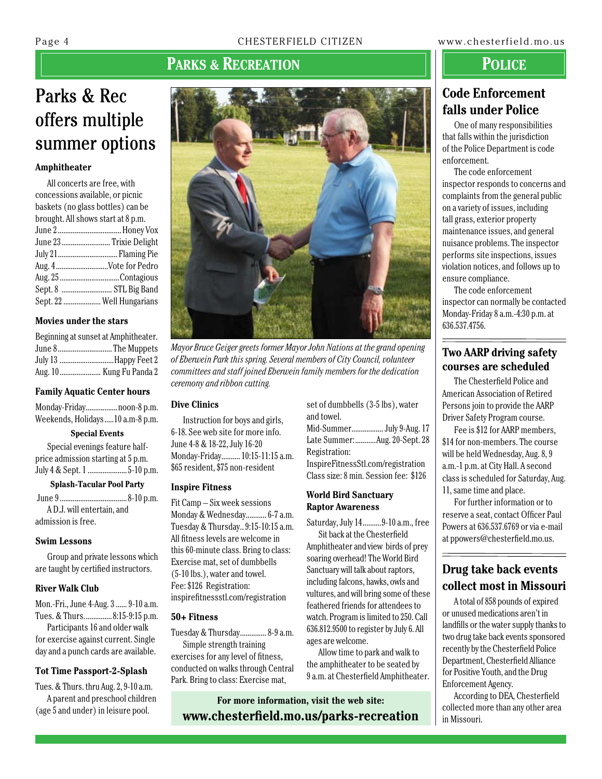## **Parks & Recreation**

## Parks & Rec offers multiple summer options

### **Amphitheater**

| All concerts are free, with        |
|------------------------------------|
| concessions available, or picnic   |
| baskets (no glass bottles) can be  |
| brought. All shows start at 8 p.m. |
|                                    |
| June 23 Trixie Delight             |
|                                    |
| Aug. 4Vote for Pedro               |
| Aug. 25 Contagious                 |
| Sept. 8  STL Big Band              |
| Sept. 22  Well Hungarians          |

### **Movies under the stars**

| Beginning at sunset at Amphitheater. |
|--------------------------------------|
| June 8The Muppets                    |
| July 13 Happy Feet 2                 |
| Aug. 10 Kung Fu Panda 2              |

### **Family Aquatic Center hours**

| Monday-Fridaynoon-8 p.m.          |  |
|-----------------------------------|--|
| Weekends, Holidays  10 a.m-8 p.m. |  |

**Special Events**

Special evenings feature halfprice admission starting at 5 p.m. July 4 & Sept. 1 ..........................5-10 p.m.

**Splash-Tacular Pool Party**

 June 9....................................8-10 p.m. A D.J. will entertain, and admission is free.

### **Swim Lessons**

Group and private lessons which are taught by certified instructors.

### **River Walk Club**

Mon.-Fri., June 4-Aug. 3......9-10 a.m. Tues. & Thurs...............8:15-9:15 p.m.

Participants 16 and older walk for exercise against current. Single day and a punch cards are available.

### **Tot Time Passport-2-Splash**

Tues. & Thurs. thru Aug. 2, 9-10 a.m. A parent and preschool children (age 5 and under) in leisure pool.



*Mayor Bruce Geiger greets former Mayor John Nations at the grand opening of Eberwein Park this spring. Several members of City Council, volunteer committees and staff joined Eberwein family members for the dedication ceremony and ribbon cutting.*

### **Dive Clinics**

Instruction for boys and girls, 6-18. See web site for more info. June 4-8 & 18-22, July 16-20 Monday-Friday..........10:15-11:15 a.m. \$65 resident, \$75 non-resident

### **Inspire Fitness**

Fit Camp – Six week sessions Monday & Wednesday...........6-7 a.m. Tuesday & Thursday..9:15-10:15 a.m. All fitness levels are welcome in this 60-minute class. Bring to class: Exercise mat, set of dumbbells (5-10 lbs.), water and towel. Fee: \$126 Registration: inspirefitnessstl.com/registration

### **50+ Fitness**

Tuesday & Thursday..............8-9 a.m. Simple strength training exercises for any level of fitness, conducted on walks through Central Park. Bring to class: Exercise mat,

set of dumbbells (3-5 lbs), water and towel.

Mid-Summer.................July 9-Aug. 17 Late Summer:...........Aug. 20-Sept. 28 Registration:

InspireFitnessStl.com/registration Class size: 8 min. Session fee: \$126

### **World Bird Sanctuary Raptor Awareness**

Saturday, July 14..........9-10 a.m., free

Sit back at the Chesterfield Amphitheater and view birds of prey soaring overhead! The World Bird Sanctuary will talk about raptors, including falcons, hawks, owls and vultures, and will bring some of these feathered friends for attendees to watch. Program is limited to 250. Call 636.812.9500 to register by July 6. All ages are welcome.

Allow time to park and walk to the amphitheater to be seated by 9 a.m. at Chesterfield Amphitheater. **Police**

## **Code Enforcement falls under Police**

One of many responsibilities that falls within the jurisdiction of the Police Department is code enforcement.

The code enforcement inspector responds to concerns and complaints from the general public on a variety of issues, including tall grass, exterior property maintenance issues, and general nuisance problems. The inspector performs site inspections, issues violation notices, and follows up to ensure compliance.

The code enforcement inspector can normally be contacted Monday-Friday 8 a.m.-4:30 p.m. at 636.537.4756.

## **Two AARP driving safety courses are scheduled**

The Chesterfield Police and American Association of Retired Persons join to provide the AARP Driver Safety Program course.

Fee is \$12 for AARP members, \$14 for non-members. The course will be held Wednesday, Aug. 8, 9 a.m.-1 p.m. at City Hall. A second class is scheduled for Saturday, Aug. 11, same time and place.

For further information or to reserve a seat, contact Officer Paul Powers at 636.537.6769 or via e-mail at ppowers@chesterfield.mo.us.

## **Drug take back events collect most in Missouri**

A total of 858 pounds of expired or unused medications aren't in landfills or the water supply thanks to two drug take back events sponsored recently by the Chesterfield Police Department, Chesterfield Alliance for Positive Youth, and the Drug Enforcement Agency.

According to DEA, Chesterfield collected more than any other area in Missouri.

**For more information, visit the web site: www.chesterfield.mo.us/parks-recreation**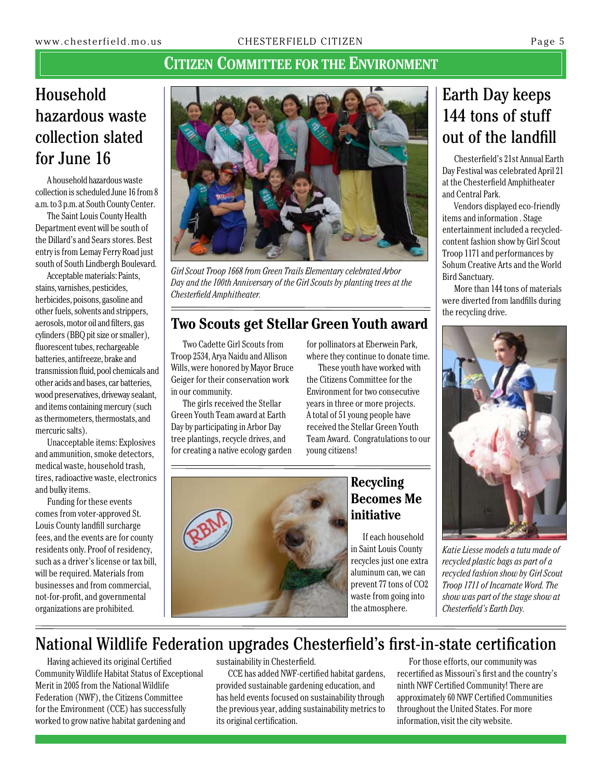## **Citizen Committee for the Environment**

## Household hazardous waste collection slated for June 16

A household hazardous waste collection is scheduled June 16 from 8 a.m. to 3 p.m. at South County Center.

The Saint Louis County Health Department event will be south of the Dillard's and Sears stores. Best entry is from Lemay Ferry Road just south of South Lindbergh Boulevard.

Acceptable materials: Paints, stains, varnishes, pesticides, herbicides, poisons, gasoline and other fuels, solvents and strippers, aerosols, motor oil and filters, gas cylinders (BBQ pit size or smaller), fluorescent tubes, rechargeable batteries, antifreeze, brake and transmission fluid, pool chemicals and other acids and bases, car batteries, wood preservatives, driveway sealant, and items containing mercury (such as thermometers, thermostats, and mercuric salts).

Unacceptable items: Explosives and ammunition, smoke detectors, medical waste, household trash, tires, radioactive waste, electronics and bulky items.

Funding for these events comes from voter-approved St. Louis County landfill surcharge fees, and the events are for county residents only. Proof of residency, such as a driver's license or tax bill, will be required. Materials from businesses and from commercial, not-for-profit, and governmental organizations are prohibited.



*Girl Scout Troop 1668 from Green Trails Elementary celebrated Arbor Day and the 100th Anniversary of the Girl Scouts by planting trees at the Chesterfield Amphitheater.*

## **Two Scouts get Stellar Green Youth award**

Two Cadette Girl Scouts from Troop 2534, Arya Naidu and Allison Wills, were honored by Mayor Bruce Geiger for their conservation work in our community.

The girls received the Stellar Green Youth Team award at Earth Day by participating in Arbor Day tree plantings, recycle drives, and for creating a native ecology garden

for pollinators at Eberwein Park, where they continue to donate time.

These youth have worked with the Citizens Committee for the Environment for two consecutive years in three or more projects. A total of 51 young people have received the Stellar Green Youth Team Award. Congratulations to our young citizens!



## **Recycling Becomes Me initiative**

If each household in Saint Louis County recycles just one extra aluminum can, we can prevent 77 tons of CO2 waste from going into the atmosphere.

## Earth Day keeps 144 tons of stuff out of the landfill

Chesterfield's 21st Annual Earth Day Festival was celebrated April 21 at the Chesterfield Amphitheater and Central Park.

Vendors displayed eco-friendly items and information . Stage entertainment included a recycledcontent fashion show by Girl Scout Troop 1171 and performances by Sohum Creative Arts and the World Bird Sanctuary.

More than 144 tons of materials were diverted from landfills during the recycling drive.



*Katie Liesse models a tutu made of recycled plastic bags as part of a recycled fashion show by Girl Scout Troop 1711 of Incarnate Word. The show was part of the stage show at Chesterfield's Earth Day.*

## National Wildlife Federation upgrades Chesterfield's first-in-state certification

Having achieved its original Certified Community Wildlife Habitat Status of Exceptional Merit in 2005 from the National Wildlife Federation (NWF), the Citizens Committee for the Environment (CCE) has successfully worked to grow native habitat gardening and

sustainability in Chesterfield.

CCE has added NWF-certified habitat gardens, provided sustainable gardening education, and has held events focused on sustainability through the previous year, adding sustainability metrics to its original certification.

For those efforts, our community was recertified as Missouri's first and the country's ninth NWF Certified Community! There are approximately 60 NWF Certified Communities throughout the United States. For more information, visit the city website.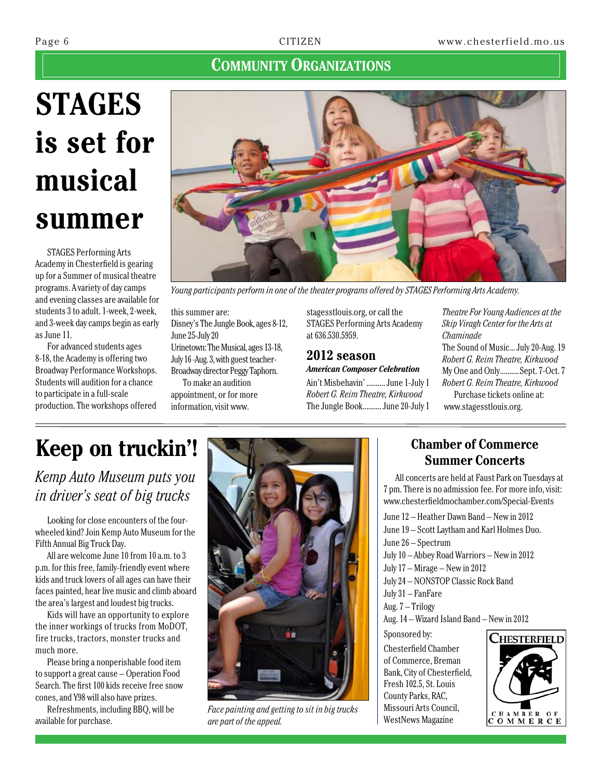## **COMMUNITY ORGANIZATIONS**

# **STAGES is set for musical summer**

STAGES Performing Arts Academy in Chesterfield is gearing up for a Summer of musical theatre programs. A variety of day camps and evening classes are available for students 3 to adult. 1-week, 2-week, and 3-week day camps begin as early as June 11.

For advanced students ages 8-18, the Academy is offering two Broadway Performance Workshops. Students will audition for a chance to participate in a full-scale production. The workshops offered



*Young participants perform in one of the theater programs offered by STAGES Performing Arts Academy.*

this summer are: Disney's The Jungle Book, ages 8-12, June 25-July 20

Urinetown: The Musical, ages 13-18, July 16 -Aug. 3, with guest teacher-Broadway director Peggy Taphorn.

To make an audition appointment, or for more information, visit www.

stagesstlouis.org, or call the STAGES Performing Arts Academy at 636.530.5959.

### **2012 season** *American Composer Celebration*

Ain't Misbehavin' ..........June 1-July 1 *Robert G. Reim Theatre, Kirkwood* The Jungle Book..........June 20-July 1

*Theatre For Young Audiences at the Skip Viragh Center for the Arts at Chaminade* The Sound of Music...July 20-Aug. 19 *Robert G. Reim Theatre, Kirkwood* My One and Only..........Sept. 7-Oct. 7

*Robert G. Reim Theatre, Kirkwood* Purchase tickets online at:

www.stagesstlouis.org.

# **Keep on truckin'!**

*Kemp Auto Museum puts you in driver's seat of big trucks*

Looking for close encounters of the fourwheeled kind? Join Kemp Auto Museum for the Fifth Annual Big Truck Day.

All are welcome June 10 from 10 a.m. to 3 p.m. for this free, family-friendly event where kids and truck lovers of all ages can have their faces painted, hear live music and climb aboard the area's largest and loudest big trucks.

Kids will have an opportunity to explore the inner workings of trucks from MoDOT, fire trucks, tractors, monster trucks and much more.

Please bring a nonperishable food item to support a great cause – Operation Food Search. The first 100 kids receive free snow cones, and Y98 will also have prizes.

Refreshments, including BBQ, will be available for purchase.



*Face painting and getting to sit in big trucks are part of the appeal.*

## **Chamber of Commerce Summer Concerts**

All concerts are held at Faust Park on Tuesdays at 7 pm. There is no admission fee. For more info, visit: www.chesterfieldmochamber.com/Special-Events

June 12 – Heather Dawn Band – New in 2012 June 19 – Scott Laytham and Karl Holmes Duo. June 26 – Spectrum July 10 – Abbey Road Warriors – New in 2012 July 17 – Mirage – New in 2012 July 24 – NONSTOP Classic Rock Band July 31 – FanFare Aug. 7 – Trilogy Aug. 14 – Wizard Island Band – New in 2012 Sponsored by: **CHESTERFIELD** Chesterfield Chamber of Commerce, Breman Bank, City of Chesterfield, Fresh 102.5, St. Louis

County Parks, RAC, Missouri Arts Council, WestNews Magazine

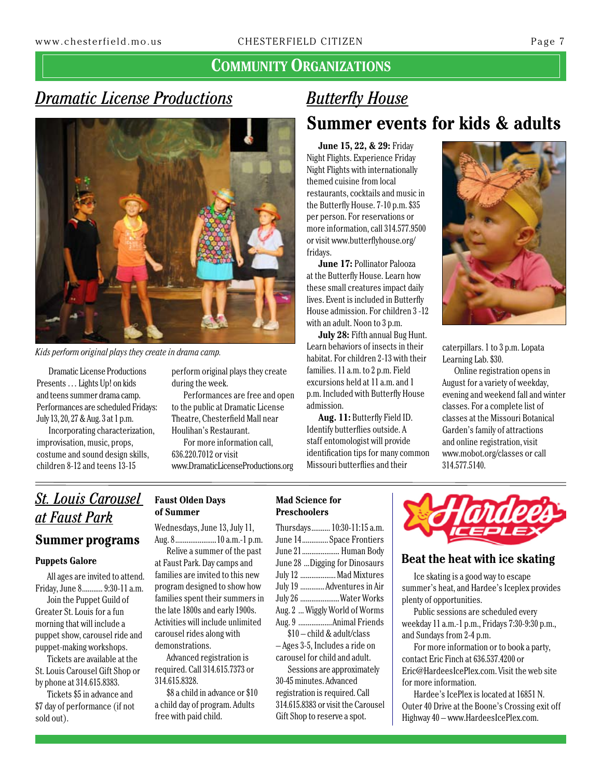## **COMMUNITY ORGANIZATIONS**

## *Dramatic License Productions*



*Kids perform original plays they create in drama camp.*

Dramatic License Productions Presents … Lights Up! on kids and teens summer drama camp. Performances are scheduled Fridays: July 13, 20, 27 & Aug. 3 at 1 p.m.

Incorporating characterization, improvisation, music, props, costume and sound design skills, children 8-12 and teens 13-15

perform original plays they create during the week.

Performances are free and open to the public at Dramatic License Theatre, Chesterfield Mall near Houlihan's Restaurant.

For more information call, 636.220.7012 or visit www.DramaticLicenseProductions.org

## *Butterfly House* **Summer events for kids & adults**

**June 15, 22, & 29:** Friday Night Flights. Experience Friday Night Flights with internationally themed cuisine from local restaurants, cocktails and music in the Butterfly House. 7-10 p.m. \$35 per person. For reservations or more information, call 314.577.9500 or visit www.butterflyhouse.org/ fridays.

**June 17:** Pollinator Palooza at the Butterfly House. Learn how these small creatures impact daily lives. Event is included in Butterfly House admission. For children 3 -12 with an adult. Noon to 3 p.m.

**July 28:** Fifth annual Bug Hunt. Learn behaviors of insects in their habitat. For children 2-13 with their families. 11a.m. to 2 p.m. Field excursions held at 11 a.m. and 1 p.m. Included with Butterfly House admission.

**Aug. 11:** Butterfly Field ID. Identify butterflies outside. A staff entomologist will provide identification tips for many common Missouri butterflies and their



caterpillars. 1 to 3 p.m. Lopata Learning Lab. \$30.

Online registration opens in August for a variety of weekday, evening and weekend fall and winter classes. For a complete list of classes at the Missouri Botanical Garden's family of attractions and online registration, visit www.mobot.org/classes or call 314.577.5140.

## *St. Louis Carousel at Faust Park*

## **Summer programs**

### **Puppets Galore**

All ages are invited to attend. Friday, June 8...........9:30-11 a.m.

Join the Puppet Guild of Greater St. Louis for a fun morning that will include a puppet show, carousel ride and puppet-making workshops.

Tickets are available at the St. Louis Carousel Gift Shop or by phone at 314.615.8383.

Tickets \$5 in advance and \$7 day of performance (if not sold out).

## **Faust Olden Days of Summer**

Wednesdays, June 13, July 11, Aug. 8......................10 a.m.-1 p.m.

Relive a summer of the past at Faust Park. Day camps and families are invited to this new program designed to show how families spent their summers in the late 1800s and early 1900s. Activities will include unlimited carousel rides along with demonstrations.

Advanced registration is required. Call 314.615.7373 or 314.615.8328.

\$8 a child in advance or \$10 a child day of program. Adults free with paid child.

### **Mad Science for Preschoolers**

| Thursdays 10:30-11:15 a.m.    |
|-------------------------------|
| June 14 Space Frontiers       |
| June 21 Human Body            |
| June 28 Digging for Dinosaurs |
| July 12  Mad Mixtures         |
| July 19  Adventures in Air    |
| July 26 Water Works           |
| Aug. 2  Wiggly World of Worms |
| Aug. 9 Animal Friends         |
| \$10-child & adult/class      |

– Ages 3-5, Includes a ride on carousel for child and adult.

Sessions are approximately 30-45 minutes. Advanced registration is required. Call 314.615.8383 or visit the Carousel Gift Shop to reserve a spot.



## **Beat the heat with ice skating**

Ice skating is a good way to escape summer's heat, and Hardee's Iceplex provides plenty of opportunities.

Public sessions are scheduled every weekday 11 a.m.-1 p.m., Fridays 7:30-9:30 p.m., and Sundays from 2-4 p.m.

For more information or to book a party, contact Eric Finch at 636.537.4200 or Eric@HardeesIcePlex.com. Visit the web site for more information.

Hardee's IcePlex is located at 16851 N. Outer 40 Drive at the Boone's Crossing exit off Highway 40 – www.HardeesIcePlex.com.